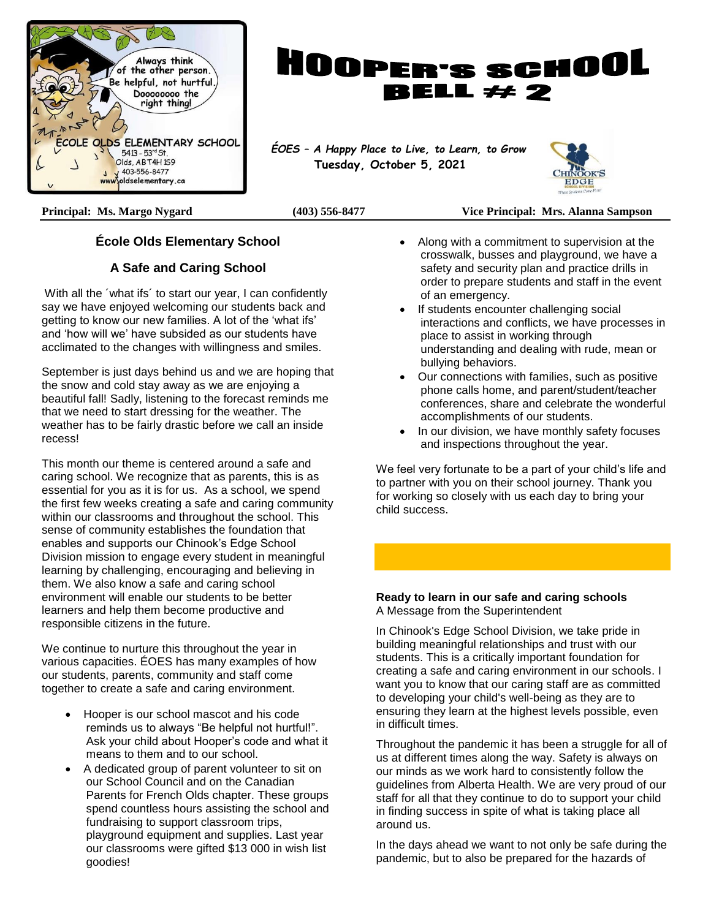



 **Tuesday, October 5, 2021**



#### **Principal: Ms. Margo Nygard (403) 556-8477 Vice Principal: Mrs. Alanna Sampson**

#### **École Olds Elementary School**

#### **A Safe and Caring School**

With all the ´what ifs´ to start our year, I can confidently say we have enjoyed welcoming our students back and getting to know our new families. A lot of the 'what ifs' and 'how will we' have subsided as our students have acclimated to the changes with willingness and smiles.

September is just days behind us and we are hoping that the snow and cold stay away as we are enjoying a beautiful fall! Sadly, listening to the forecast reminds me that we need to start dressing for the weather. The weather has to be fairly drastic before we call an inside recess!

This month our theme is centered around a safe and caring school. We recognize that as parents, this is as essential for you as it is for us. As a school, we spend the first few weeks creating a safe and caring community within our classrooms and throughout the school. This sense of community establishes the foundation that enables and supports our Chinook's Edge School Division mission to engage every student in meaningful learning by challenging, encouraging and believing in them. We also know a safe and caring school environment will enable our students to be better learners and help them become productive and responsible citizens in the future.

We continue to nurture this throughout the year in various capacities. ÉOES has many examples of how our students, parents, community and staff come together to create a safe and caring environment.

- Hooper is our school mascot and his code reminds us to always "Be helpful not hurtful!". Ask your child about Hooper's code and what it means to them and to our school.
- A dedicated group of parent volunteer to sit on our School Council and on the Canadian Parents for French Olds chapter. These groups spend countless hours assisting the school and fundraising to support classroom trips, playground equipment and supplies. Last year our classrooms were gifted \$13 000 in wish list goodies!
- Along with a commitment to supervision at the crosswalk, busses and playground, we have a safety and security plan and practice drills in order to prepare students and staff in the event of an emergency.
- If students encounter challenging social interactions and conflicts, we have processes in place to assist in working through understanding and dealing with rude, mean or bullying behaviors.
- Our connections with families, such as positive phone calls home, and parent/student/teacher conferences, share and celebrate the wonderful accomplishments of our students.
- In our division, we have monthly safety focuses and inspections throughout the year.

We feel very fortunate to be a part of your child's life and to partner with you on their school journey. Thank you for working so closely with us each day to bring your child success.

#### **Ready to learn in our safe and caring schools** A Message from the Superintendent

In Chinook's Edge School Division, we take pride in building meaningful relationships and trust with our students. This is a critically important foundation for creating a safe and caring environment in our schools. I want you to know that our caring staff are as committed to developing your child's well-being as they are to ensuring they learn at the highest levels possible, even in difficult times.

Throughout the pandemic it has been a struggle for all of us at different times along the way. Safety is always on our minds as we work hard to consistently follow the guidelines from Alberta Health. We are very proud of our staff for all that they continue to do to support your child in finding success in spite of what is taking place all around us.

In the days ahead we want to not only be safe during the pandemic, but to also be prepared for the hazards of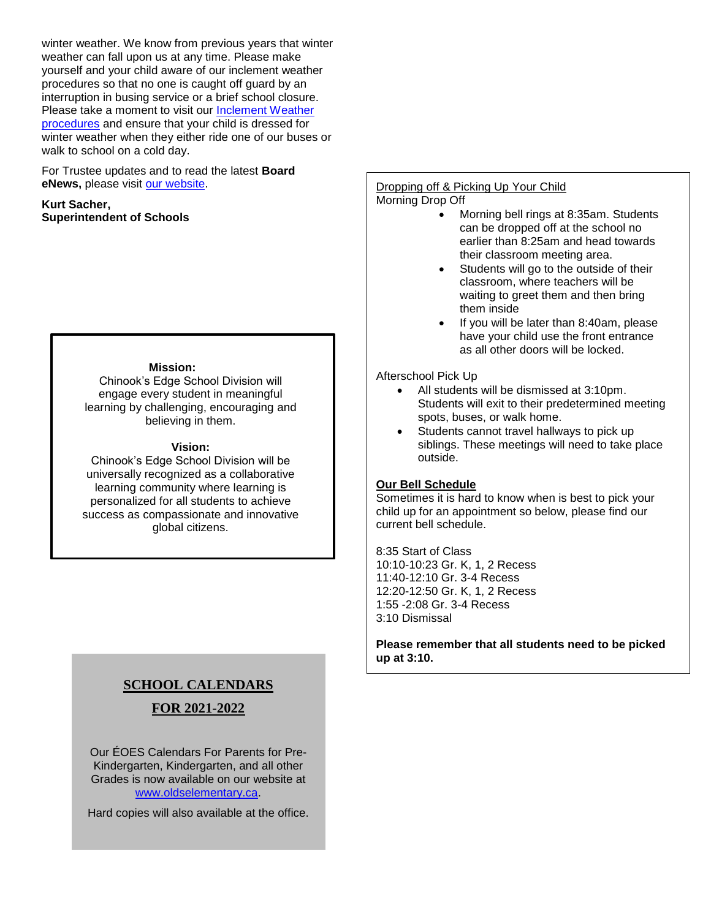winter weather. We know from previous years that winter weather can fall upon us at any time. Please make yourself and your child aware of our inclement weather procedures so that no one is caught off guard by an interruption in busing service or a brief school closure. Please take a moment to visit our [Inclement Weather](https://www.cesd73.ca/parents/inclement-weather)  [procedures](https://www.cesd73.ca/parents/inclement-weather) and ensure that your child is dressed for winter weather when they either ride one of our buses or walk to school on a cold day.

For Trustee updates and to read the latest **Board eNews,** please visit [our website.](https://www.cesd73.ca/board/trustee-update)

**Kurt Sacher, Superintendent of Schools**

#### **Mission:**

Chinook's Edge School Division will engage every student in meaningful learning by challenging, encouraging and believing in them.

#### **Vision:**

Chinook's Edge School Division will be universally recognized as a collaborative learning community where learning is personalized for all students to achieve success as compassionate and innovative global citizens.

## **SCHOOL CALENDARS FOR 2021-2022**

Our ÉOES Calendars For Parents for Pre-Kindergarten, Kindergarten, and all other Grades is now available on our website at [www.oldselementary.ca.](http://www.oldselementary.ca/)

Hard copies will also available at the office.

#### Dropping off & Picking Up Your Child Morning Drop Off

- Morning bell rings at 8:35am. Students can be dropped off at the school no earlier than 8:25am and head towards their classroom meeting area.
- Students will go to the outside of their classroom, where teachers will be waiting to greet them and then bring them inside
- If you will be later than 8:40am, please have your child use the front entrance as all other doors will be locked.

#### Afterschool Pick Up

- All students will be dismissed at 3:10pm. Students will exit to their predetermined meeting spots, buses, or walk home.
- Students cannot travel hallways to pick up siblings. These meetings will need to take place outside.

#### **Our Bell Schedule**

Sometimes it is hard to know when is best to pick your child up for an appointment so below, please find our current bell schedule.

8:35 Start of Class 10:10-10:23 Gr. K, 1, 2 Recess 11:40-12:10 Gr. 3-4 Recess 12:20-12:50 Gr. K, 1, 2 Recess 1:55 -2:08 Gr. 3-4 Recess 3:10 Dismissal

**Please remember that all students need to be picked up at 3:10.**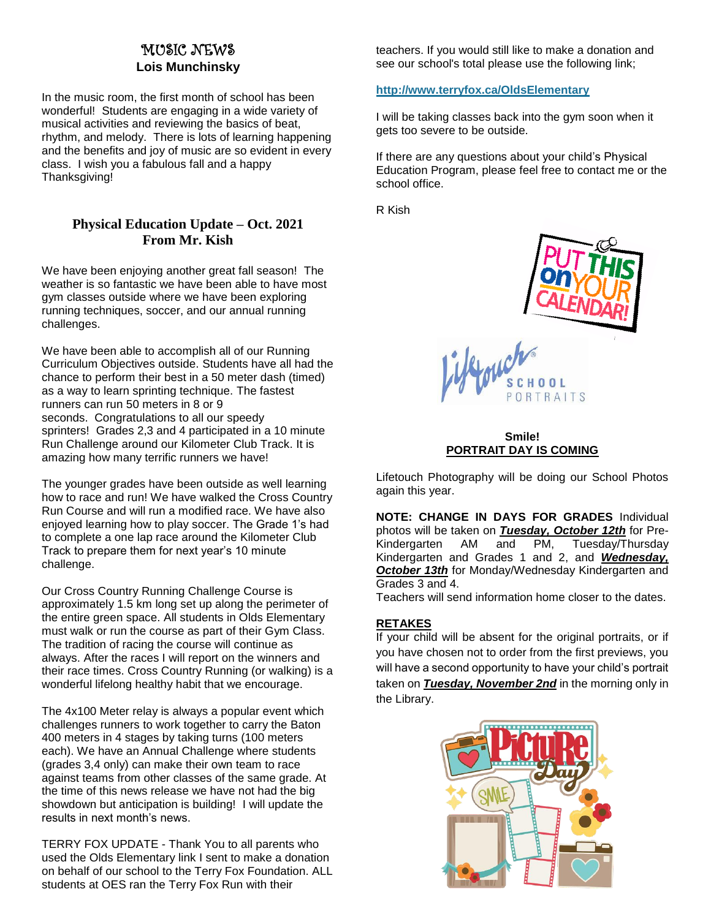### MUSIC NEWS **Lois Munchinsky**

In the music room, the first month of school has been wonderful! Students are engaging in a wide variety of musical activities and reviewing the basics of beat, rhythm, and melody. There is lots of learning happening and the benefits and joy of music are so evident in every class. I wish you a fabulous fall and a happy Thanksgiving!

#### **Physical Education Update – Oct. 2021 From Mr. Kish**

We have been enjoying another great fall season! The weather is so fantastic we have been able to have most gym classes outside where we have been exploring running techniques, soccer, and our annual running challenges.

We have been able to accomplish all of our Running Curriculum Objectives outside. Students have all had the chance to perform their best in a 50 meter dash (timed) as a way to learn sprinting technique. The fastest runners can run 50 meters in 8 or 9 seconds. Congratulations to all our speedy sprinters! Grades 2,3 and 4 participated in a 10 minute Run Challenge around our Kilometer Club Track. It is amazing how many terrific runners we have!

The younger grades have been outside as well learning how to race and run! We have walked the Cross Country Run Course and will run a modified race. We have also enjoyed learning how to play soccer. The Grade 1's had to complete a one lap race around the Kilometer Club Track to prepare them for next year's 10 minute challenge.

Our Cross Country Running Challenge Course is approximately 1.5 km long set up along the perimeter of the entire green space. All students in Olds Elementary must walk or run the course as part of their Gym Class. The tradition of racing the course will continue as always. After the races I will report on the winners and their race times. Cross Country Running (or walking) is a wonderful lifelong healthy habit that we encourage.

The 4x100 Meter relay is always a popular event which challenges runners to work together to carry the Baton 400 meters in 4 stages by taking turns (100 meters each). We have an Annual Challenge where students (grades 3,4 only) can make their own team to race against teams from other classes of the same grade. At the time of this news release we have not had the big showdown but anticipation is building! I will update the results in next month's news.

TERRY FOX UPDATE - Thank You to all parents who used the Olds Elementary link I sent to make a donation on behalf of our school to the Terry Fox Foundation. ALL students at OES ran the Terry Fox Run with their

teachers. If you would still like to make a donation and see our school's total please use the following link;

#### **<http://www.terryfox.ca/OldsElementary>**

I will be taking classes back into the gym soon when it gets too severe to be outside.

If there are any questions about your child's Physical Education Program, please feel free to contact me or the school office.

R Kish



#### **Smile! PORTRAIT DAY IS COMING**

Lifetouch Photography will be doing our School Photos again this year.

**NOTE: CHANGE IN DAYS FOR GRADES** Individual photos will be taken on *Tuesday, October 12th* for Pre-Kindergarten AM and PM, Tuesday/Thursday Kindergarten and Grades 1 and 2, and *Wednesday, October 13th* for Monday/Wednesday Kindergarten and Grades 3 and 4.

Teachers will send information home closer to the dates.

#### **RETAKES**

If your child will be absent for the original portraits, or if you have chosen not to order from the first previews, you will have a second opportunity to have your child's portrait taken on *Tuesday, November 2nd* in the morning only in the Library.

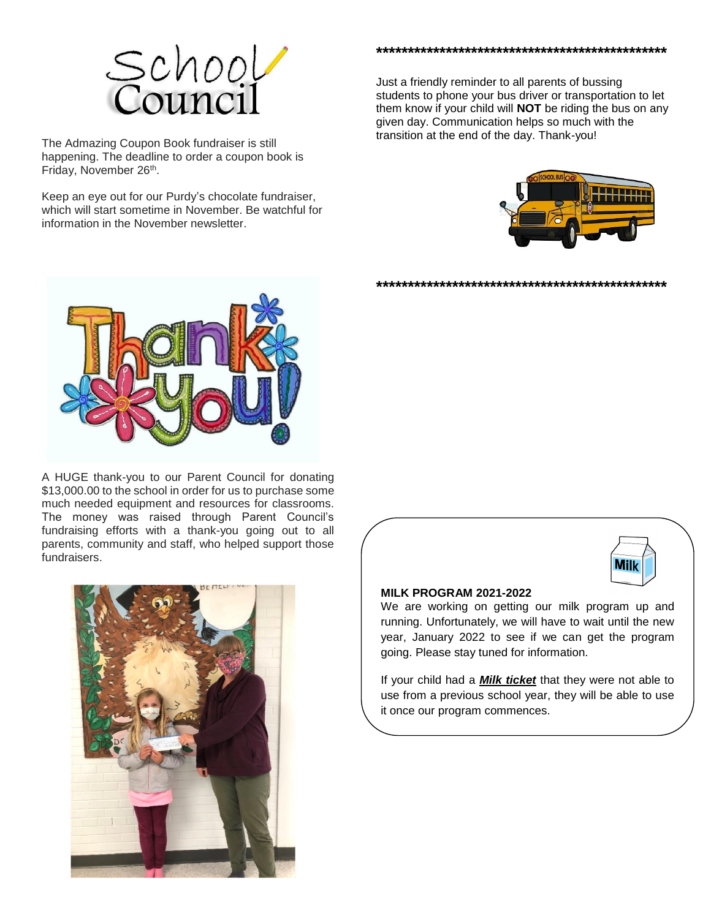

The Admazing Coupon Book fundraiser is still happening. The deadline to order a coupon book is Friday, November 26<sup>th</sup>.

Keep an eye out for our Purdy's chocolate fundraiser, which will start sometime in November. Be watchful for information in the November newsletter.



Just a friendly reminder to all parents of bussing students to phone your bus driver or transportation to let them know if your child will **NOT** be riding the bus on any given day. Communication helps so much with the transition at the end of the day. Thank-you!

**\*\*\*\*\*\*\*\*\*\*\*\*\*\*\*\*\*\*\*\*\*\*\*\*\*\*\*\*\*\*\*\*\*\*\*\*\*\*\*\*\*\*\*\*\*\***





A HUGE thank-you to our Parent Council for donating \$13,000.00 to the school in order for us to purchase some much needed equipment and resources for classrooms. The money was raised through Parent Council's fundraising efforts with a thank-you going out to all parents, community and staff, who helped support those fundraisers.





#### **MILK PROGRAM 2021-2022**

We are working on getting our milk program up and running. Unfortunately, we will have to wait until the new year, January 2022 to see if we can get the program going. Please stay tuned for information.

If your child had a *Milk ticket* that they were not able to use from a previous school year, they will be able to use it once our program commences.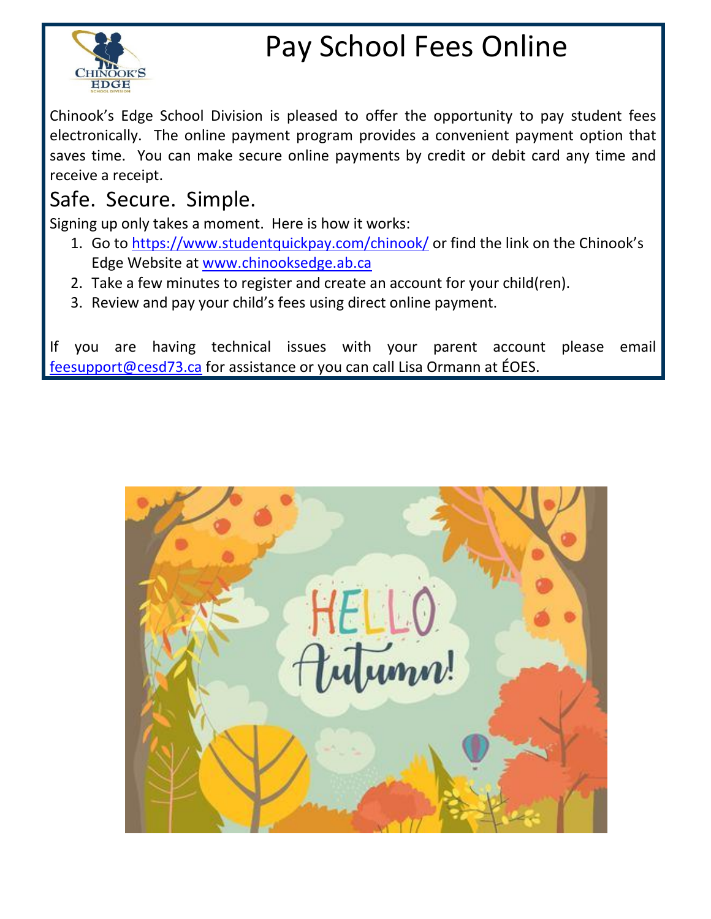

# Pay School Fees Online

Chinook's Edge School Division is pleased to offer the opportunity to pay student fees electronically. The online payment program provides a convenient payment option that saves time. You can make secure online payments by credit or debit card any time and receive a receipt.

# Safe. Secure. Simple.

Signing up only takes a moment. Here is how it works:

- 1. Go to<https://www.studentquickpay.com/chinook/> or find the link on the Chinook's Edge Website at [www.chinooksedge.ab.ca](http://www.chinooksedge.ab.ca/)
- 2. Take a few minutes to register and create an account for your child(ren).
- 3. Review and pay your child's fees using direct online payment.

If you are having technical issues with your parent account please email [feesupport@cesd73.ca](mailto:feesupport@cesd73.ca) for assistance or you can call Lisa Ormann at ÉOES.